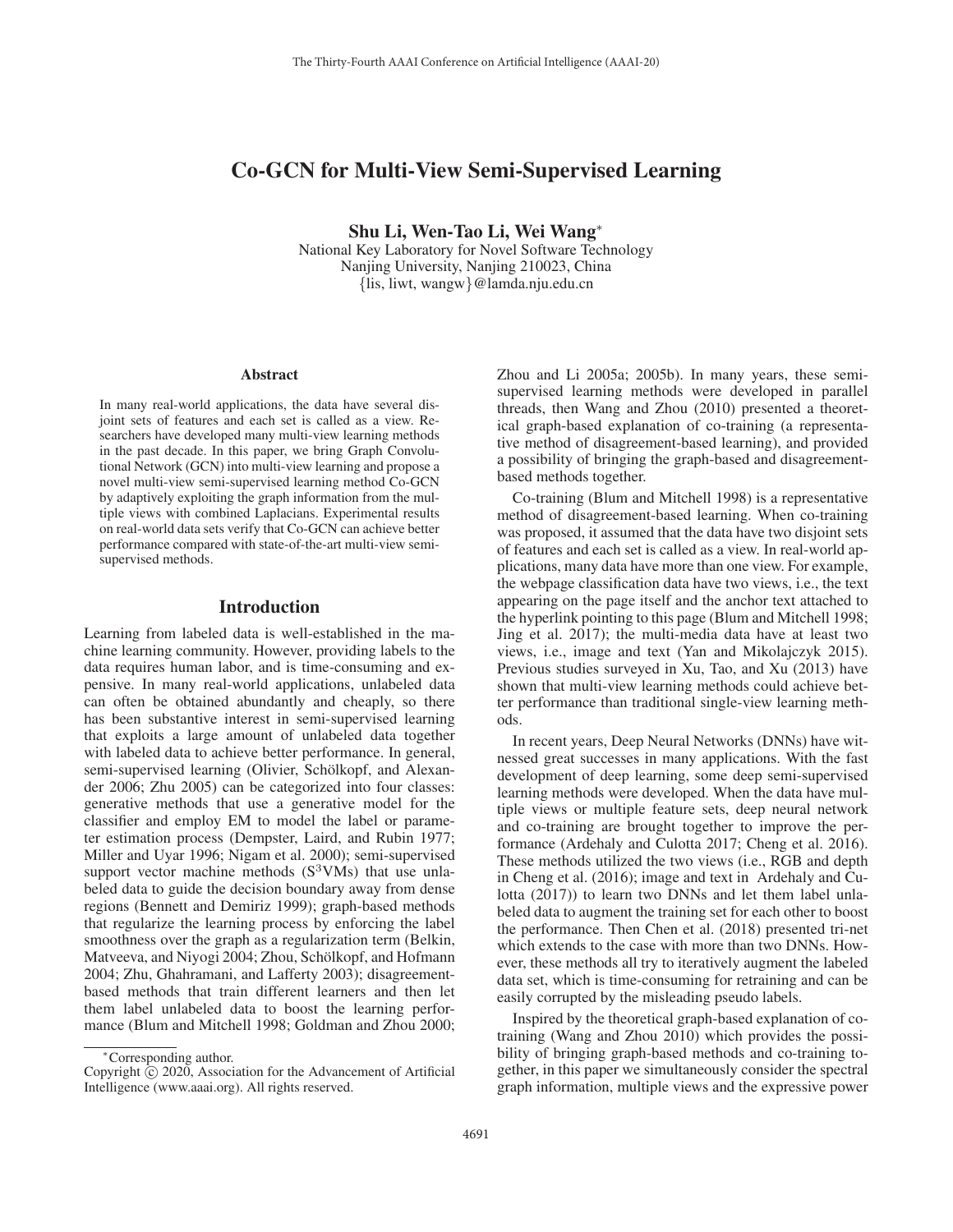# Co-GCN for Multi-View Semi-Supervised Learning

Shu Li, Wen-Tao Li, Wei Wang<sup>∗</sup>

National Key Laboratory for Novel Software Technology Nanjing University, Nanjing 210023, China {lis, liwt, wangw}@lamda.nju.edu.cn

#### Abstract

In many real-world applications, the data have several disjoint sets of features and each set is called as a view. Researchers have developed many multi-view learning methods in the past decade. In this paper, we bring Graph Convolutional Network (GCN) into multi-view learning and propose a novel multi-view semi-supervised learning method Co-GCN by adaptively exploiting the graph information from the multiple views with combined Laplacians. Experimental results on real-world data sets verify that Co-GCN can achieve better performance compared with state-of-the-art multi-view semisupervised methods.

## Introduction

Learning from labeled data is well-established in the machine learning community. However, providing labels to the data requires human labor, and is time-consuming and expensive. In many real-world applications, unlabeled data can often be obtained abundantly and cheaply, so there has been substantive interest in semi-supervised learning that exploits a large amount of unlabeled data together with labeled data to achieve better performance. In general, semi-supervised learning (Olivier, Schölkopf, and Alexander 2006; Zhu 2005) can be categorized into four classes: generative methods that use a generative model for the classifier and employ EM to model the label or parameter estimation process (Dempster, Laird, and Rubin 1977; Miller and Uyar 1996; Nigam et al. 2000); semi-supervised support vector machine methods  $(S^3VMs)$  that use unlabeled data to guide the decision boundary away from dense regions (Bennett and Demiriz 1999); graph-based methods that regularize the learning process by enforcing the label smoothness over the graph as a regularization term (Belkin, Matveeva, and Niyogi 2004; Zhou, Schölkopf, and Hofmann 2004; Zhu, Ghahramani, and Lafferty 2003); disagreementbased methods that train different learners and then let them label unlabeled data to boost the learning performance (Blum and Mitchell 1998; Goldman and Zhou 2000;

Zhou and Li 2005a; 2005b). In many years, these semisupervised learning methods were developed in parallel threads, then Wang and Zhou (2010) presented a theoretical graph-based explanation of co-training (a representative method of disagreement-based learning), and provided a possibility of bringing the graph-based and disagreementbased methods together.

Co-training (Blum and Mitchell 1998) is a representative method of disagreement-based learning. When co-training was proposed, it assumed that the data have two disjoint sets of features and each set is called as a view. In real-world applications, many data have more than one view. For example, the webpage classification data have two views, i.e., the text appearing on the page itself and the anchor text attached to the hyperlink pointing to this page (Blum and Mitchell 1998; Jing et al. 2017); the multi-media data have at least two views, i.e., image and text (Yan and Mikolajczyk 2015). Previous studies surveyed in Xu, Tao, and Xu (2013) have shown that multi-view learning methods could achieve better performance than traditional single-view learning methods.

In recent years, Deep Neural Networks (DNNs) have witnessed great successes in many applications. With the fast development of deep learning, some deep semi-supervised learning methods were developed. When the data have multiple views or multiple feature sets, deep neural network and co-training are brought together to improve the performance (Ardehaly and Culotta 2017; Cheng et al. 2016). These methods utilized the two views (i.e., RGB and depth in Cheng et al. (2016); image and text in Ardehaly and Culotta (2017)) to learn two DNNs and let them label unlabeled data to augment the training set for each other to boost the performance. Then Chen et al. (2018) presented tri-net which extends to the case with more than two DNNs. However, these methods all try to iteratively augment the labeled data set, which is time-consuming for retraining and can be easily corrupted by the misleading pseudo labels.

Inspired by the theoretical graph-based explanation of cotraining (Wang and Zhou 2010) which provides the possibility of bringing graph-based methods and co-training together, in this paper we simultaneously consider the spectral graph information, multiple views and the expressive power

<sup>∗</sup>Corresponding author.

Copyright  $\odot$  2020, Association for the Advancement of Artificial Intelligence (www.aaai.org). All rights reserved.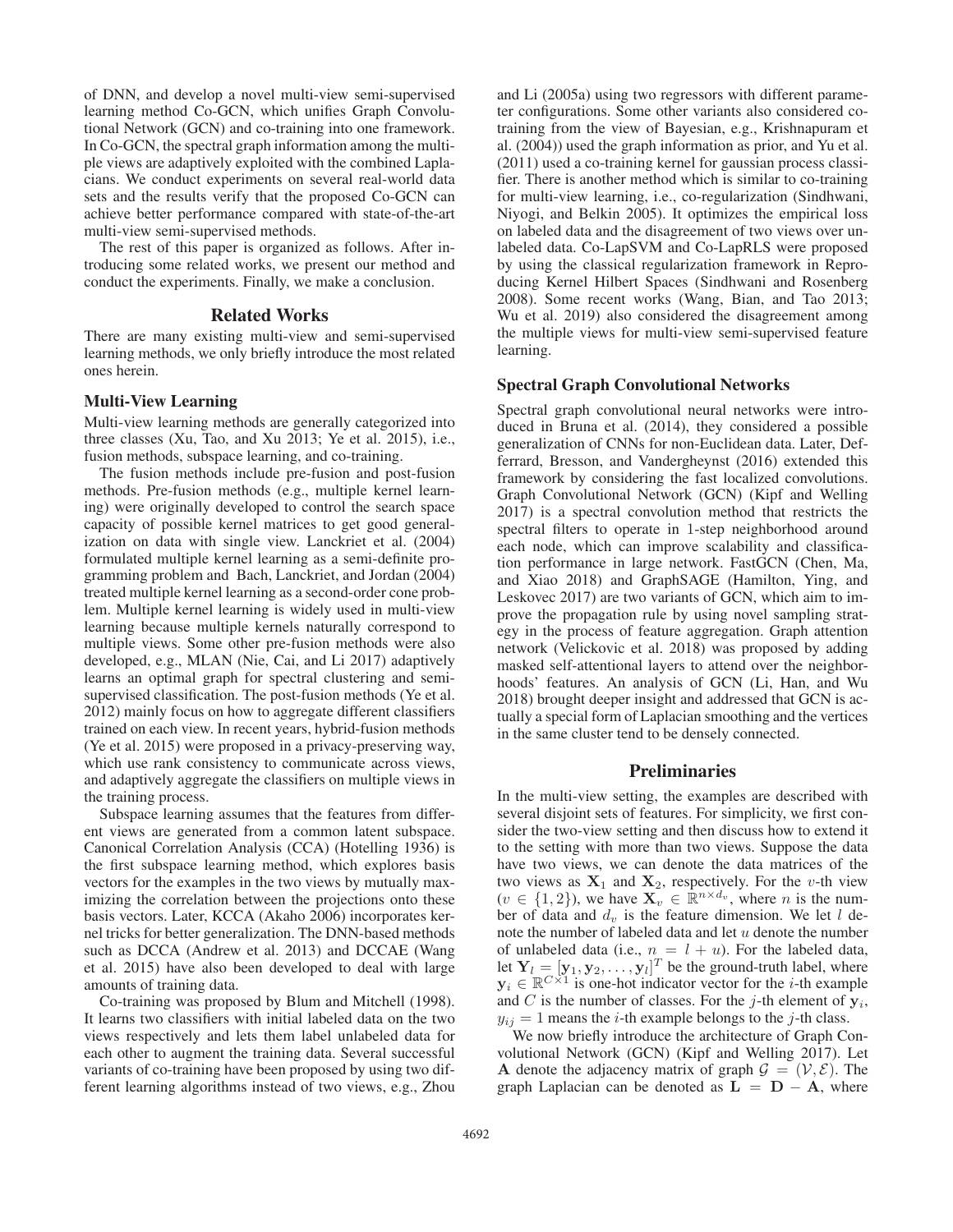of DNN, and develop a novel multi-view semi-supervised learning method Co-GCN, which unifies Graph Convolutional Network (GCN) and co-training into one framework. In Co-GCN, the spectral graph information among the multiple views are adaptively exploited with the combined Laplacians. We conduct experiments on several real-world data sets and the results verify that the proposed Co-GCN can achieve better performance compared with state-of-the-art multi-view semi-supervised methods.

The rest of this paper is organized as follows. After introducing some related works, we present our method and conduct the experiments. Finally, we make a conclusion.

### Related Works

There are many existing multi-view and semi-supervised learning methods, we only briefly introduce the most related ones herein.

### Multi-View Learning

Multi-view learning methods are generally categorized into three classes (Xu, Tao, and Xu 2013; Ye et al. 2015), i.e., fusion methods, subspace learning, and co-training.

The fusion methods include pre-fusion and post-fusion methods. Pre-fusion methods (e.g., multiple kernel learning) were originally developed to control the search space capacity of possible kernel matrices to get good generalization on data with single view. Lanckriet et al. (2004) formulated multiple kernel learning as a semi-definite programming problem and Bach, Lanckriet, and Jordan (2004) treated multiple kernel learning as a second-order cone problem. Multiple kernel learning is widely used in multi-view learning because multiple kernels naturally correspond to multiple views. Some other pre-fusion methods were also developed, e.g., MLAN (Nie, Cai, and Li 2017) adaptively learns an optimal graph for spectral clustering and semisupervised classification. The post-fusion methods (Ye et al. 2012) mainly focus on how to aggregate different classifiers trained on each view. In recent years, hybrid-fusion methods (Ye et al. 2015) were proposed in a privacy-preserving way, which use rank consistency to communicate across views, and adaptively aggregate the classifiers on multiple views in the training process.

Subspace learning assumes that the features from different views are generated from a common latent subspace. Canonical Correlation Analysis (CCA) (Hotelling 1936) is the first subspace learning method, which explores basis vectors for the examples in the two views by mutually maximizing the correlation between the projections onto these basis vectors. Later, KCCA (Akaho 2006) incorporates kernel tricks for better generalization. The DNN-based methods such as DCCA (Andrew et al. 2013) and DCCAE (Wang et al. 2015) have also been developed to deal with large amounts of training data.

Co-training was proposed by Blum and Mitchell (1998). It learns two classifiers with initial labeled data on the two views respectively and lets them label unlabeled data for each other to augment the training data. Several successful variants of co-training have been proposed by using two different learning algorithms instead of two views, e.g., Zhou

and Li (2005a) using two regressors with different parameter configurations. Some other variants also considered cotraining from the view of Bayesian, e.g., Krishnapuram et al. (2004)) used the graph information as prior, and Yu et al. (2011) used a co-training kernel for gaussian process classifier. There is another method which is similar to co-training for multi-view learning, i.e., co-regularization (Sindhwani, Niyogi, and Belkin 2005). It optimizes the empirical loss on labeled data and the disagreement of two views over unlabeled data. Co-LapSVM and Co-LapRLS were proposed by using the classical regularization framework in Reproducing Kernel Hilbert Spaces (Sindhwani and Rosenberg 2008). Some recent works (Wang, Bian, and Tao 2013; Wu et al. 2019) also considered the disagreement among the multiple views for multi-view semi-supervised feature learning.

#### Spectral Graph Convolutional Networks

Spectral graph convolutional neural networks were introduced in Bruna et al. (2014), they considered a possible generalization of CNNs for non-Euclidean data. Later, Defferrard, Bresson, and Vandergheynst (2016) extended this framework by considering the fast localized convolutions. Graph Convolutional Network (GCN) (Kipf and Welling 2017) is a spectral convolution method that restricts the spectral filters to operate in 1-step neighborhood around each node, which can improve scalability and classification performance in large network. FastGCN (Chen, Ma, and Xiao 2018) and GraphSAGE (Hamilton, Ying, and Leskovec 2017) are two variants of GCN, which aim to improve the propagation rule by using novel sampling strategy in the process of feature aggregation. Graph attention network (Velickovic et al. 2018) was proposed by adding masked self-attentional layers to attend over the neighborhoods' features. An analysis of GCN (Li, Han, and Wu 2018) brought deeper insight and addressed that GCN is actually a special form of Laplacian smoothing and the vertices in the same cluster tend to be densely connected.

## Preliminaries

In the multi-view setting, the examples are described with several disjoint sets of features. For simplicity, we first consider the two-view setting and then discuss how to extend it to the setting with more than two views. Suppose the data have two views, we can denote the data matrices of the two views as  $X_1$  and  $X_2$ , respectively. For the *v*-th view  $(v \in \{1, 2\})$ , we have  $\mathbf{X}_v \in \mathbb{R}^{n \times d_v}$ , where *n* is the number of data and  $d_v$  is the feature dimension. We let l denote the number of labeled data and let  $u$  denote the number of unlabeled data (i.e.,  $n = l + u$ ). For the labeled data, let  $Y_l = [y_1, y_2, \dots, y_l]^T$  be the ground-truth label, where  $y_i \in \mathbb{R}^{C \times 1}$  is one-hot indicator vector for the *i*-th example  $y_i \in \mathbb{R}^{C \times 1}$  is one-hot indicator vector for the *i*-th example and C is the number of classes. For the  $j$ -th element of  $y_i$ ,  $y_{ij} = 1$  means the *i*-th example belongs to the *j*-th class.

We now briefly introduce the architecture of Graph Convolutional Network (GCN) (Kipf and Welling 2017). Let **A** denote the adjacency matrix of graph  $\mathcal{G} = (\mathcal{V}, \mathcal{E})$ . The graph Laplacian can be denoted as  $L = D - A$ , where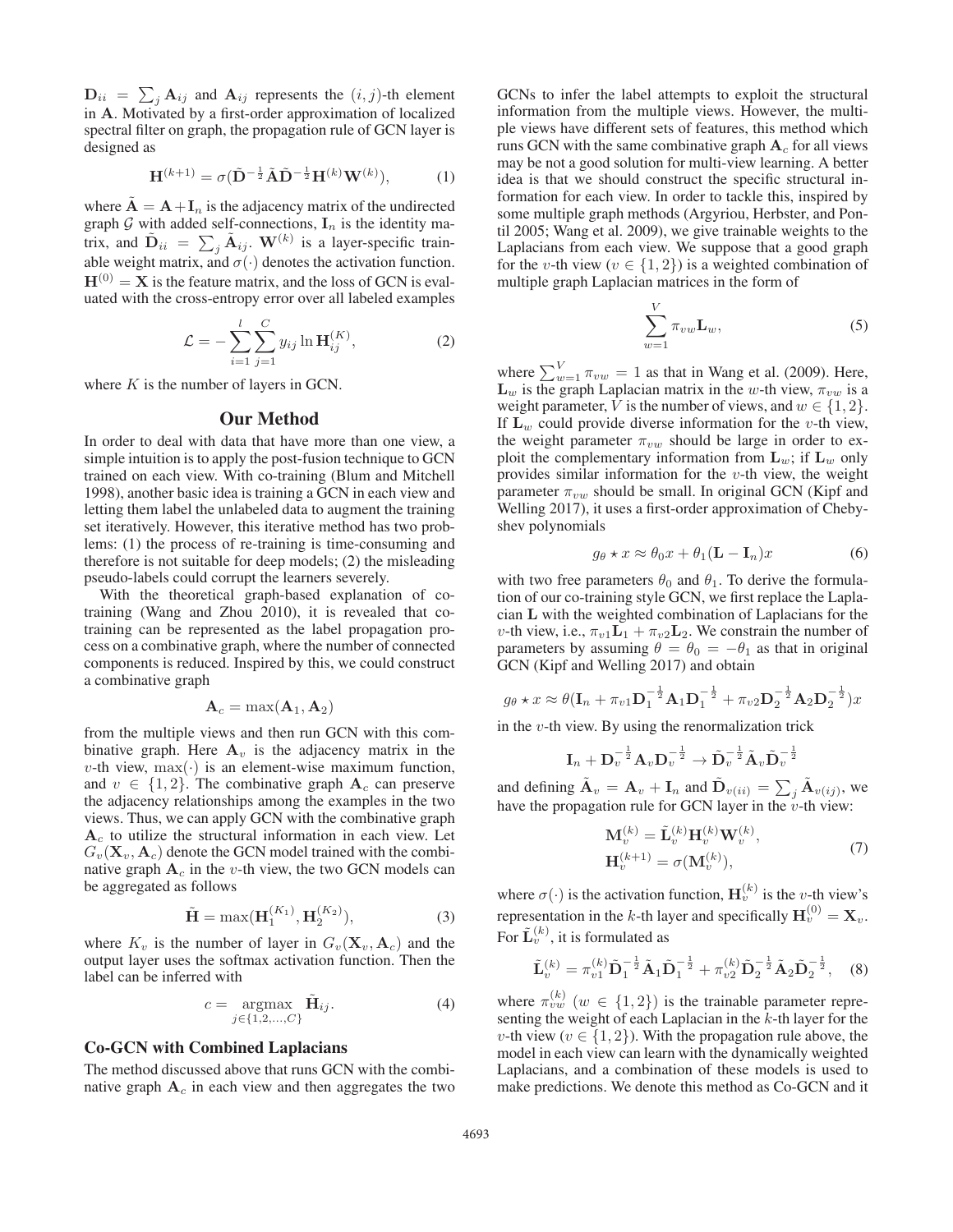$\mathbf{D}_{ii} = \sum_j \mathbf{A}_{ij}$  and  $\mathbf{A}_{ij}$  represents the  $(i, j)$ -th element<br>in  $\mathbf{A}$  Motivated by a first-order approximation of localized in **A**. Motivated by a first-order approximation of localized spectral filter on graph, the propagation rule of GCN layer is designed as

$$
\mathbf{H}^{(k+1)} = \sigma(\tilde{\mathbf{D}}^{-\frac{1}{2}}\tilde{\mathbf{A}}\tilde{\mathbf{D}}^{-\frac{1}{2}}\mathbf{H}^{(k)}\mathbf{W}^{(k)}),\tag{1}
$$

where  $\tilde{A} = A + I_n$  is the adjacency matrix of the undirected graph  $G$  with added self-connections,  $I_n$  is the identity matrix, and  $\tilde{\mathbf{D}}_{ii} = \sum_j \tilde{\mathbf{A}}_{ij}$ .  $\mathbf{W}^{(k)}$  is a layer-specific train-<br>able weight matrix, and  $\sigma'$ . denotes the activation function able weight matrix, and  $\sigma(\cdot)$  denotes the activation function.  $H^{(0)} = X$  is the feature matrix, and the loss of GCN is evaluated with the cross-entropy error over all labeled examples

$$
\mathcal{L} = -\sum_{i=1}^{l} \sum_{j=1}^{C} y_{ij} \ln \mathbf{H}_{ij}^{(K)},
$$
 (2)

where  $K$  is the number of layers in GCN.

#### Our Method

In order to deal with data that have more than one view, a simple intuition is to apply the post-fusion technique to GCN trained on each view. With co-training (Blum and Mitchell 1998), another basic idea is training a GCN in each view and letting them label the unlabeled data to augment the training set iteratively. However, this iterative method has two problems: (1) the process of re-training is time-consuming and therefore is not suitable for deep models; (2) the misleading pseudo-labels could corrupt the learners severely.

With the theoretical graph-based explanation of cotraining (Wang and Zhou 2010), it is revealed that cotraining can be represented as the label propagation process on a combinative graph, where the number of connected components is reduced. Inspired by this, we could construct a combinative graph

$$
\mathbf{A}_c = \max(\mathbf{A}_1, \mathbf{A}_2)
$$

from the multiple views and then run GCN with this combinative graph. Here  $A_v$  is the adjacency matrix in the  $v$ -th view,  $max(·)$  is an element-wise maximum function, and  $v \in \{1, 2\}$ . The combinative graph  $A_c$  can preserve the adjacency relationships among the examples in the two views. Thus, we can apply GCN with the combinative graph  $A_c$  to utilize the structural information in each view. Let  $G_v(\mathbf{X}_v, \mathbf{A}_c)$  denote the GCN model trained with the combinative graph  $A_c$  in the v-th view, the two GCN models can be aggregated as follows

$$
\tilde{\mathbf{H}} = \max(\mathbf{H}_1^{(K_1)}, \mathbf{H}_2^{(K_2)}),\tag{3}
$$

where  $K_v$  is the number of layer in  $G_v(\mathbf{X}_v, \mathbf{A}_c)$  and the output layer uses the softmax activation function. Then the label can be inferred with

$$
c = \underset{j \in \{1, 2, \ldots, C\}}{\operatorname{argmax}} \tilde{\mathbf{H}}_{ij}.
$$
 (4)

## Co-GCN with Combined Laplacians

The method discussed above that runs GCN with the combinative graph  $A_c$  in each view and then aggregates the two

GCNs to infer the label attempts to exploit the structural information from the multiple views. However, the multiple views have different sets of features, this method which runs GCN with the same combinative graph  $A_c$  for all views may be not a good solution for multi-view learning. A better idea is that we should construct the specific structural information for each view. In order to tackle this, inspired by some multiple graph methods (Argyriou, Herbster, and Pontil 2005; Wang et al. 2009), we give trainable weights to the Laplacians from each view. We suppose that a good graph for the v-th view ( $v \in \{1, 2\}$ ) is a weighted combination of multiple graph Laplacian matrices in the form of

$$
\sum_{w=1}^{V} \pi_{vw} \mathbf{L}_w, \tag{5}
$$

where  $\sum_{w=1}^{V} \pi_{vw} = 1$  as that in Wang et al. (2009). Here,<br>L<sub>ty</sub> is the graph Laplacian matrix in the *w*-th view  $\pi_{ww}$  is a  $\mathbf{L}_w$  is the graph Laplacian matrix in the w-th view,  $\pi_{vw}$  is a weight parameter, V is the number of views, and  $w \in \{1, 2\}$ . If  $\mathbf{L}_w$  could provide diverse information for the *v*-th view, the weight parameter  $\pi_{vw}$  should be large in order to exploit the complementary information from  $\mathbf{L}_w$ ; if  $\mathbf{L}_w$  only provides similar information for the  $v$ -th view, the weight parameter  $\pi_{vw}$  should be small. In original GCN (Kipf and Welling 2017), it uses a first-order approximation of Chebyshev polynomials

$$
g_{\theta} \star x \approx \theta_0 x + \theta_1 (\mathbf{L} - \mathbf{I}_n) x \tag{6}
$$

with two free parameters  $\theta_0$  and  $\theta_1$ . To derive the formulation of our co-training style GCN, we first replace the Laplacian **L** with the weighted combination of Laplacians for the *v*-th view, i.e.,  $\pi_{v1}L_1 + \pi_{v2}L_2$ . We constrain the number of parameters by assuming  $\theta = \theta_0 = -\theta_1$  as that in original GCN (Kipf and Welling 2017) and obtain

$$
g_{\theta} \star x \approx \theta (\mathbf{I}_n + \pi_{v1} \mathbf{D}_1^{-\frac{1}{2}} \mathbf{A}_1 \mathbf{D}_1^{-\frac{1}{2}} + \pi_{v2} \mathbf{D}_2^{-\frac{1}{2}} \mathbf{A}_2 \mathbf{D}_2^{-\frac{1}{2}}) x
$$

in the  $v$ -th view. By using the renormalization trick

 ${\bf I}_n + {\bf D}_v^{-\frac{1}{2}} {\bf A}_v {\bf D}_v^{-\frac{1}{2}} \to \tilde{\bf D}_v^{-\frac{1}{2}} \tilde{\bf A}_v \tilde{\bf D}_v^{-\frac{1}{2}}$ 

and defining  $\mathbf{A}_v = \mathbf{A}_v + \mathbf{I}_n$  and  $\mathbf{D}_{v(ii)} = \sum_j \mathbf{A}_{v(ij)}$ , we have the propagation rule for GCN layer in the *u*-th view: have the propagation rule for GCN layer in the  $v$ -th view:

$$
\mathbf{M}_v^{(k)} = \tilde{\mathbf{L}}_v^{(k)} \mathbf{H}_v^{(k)} \mathbf{W}_v^{(k)},
$$
  
\n
$$
\mathbf{H}_v^{(k+1)} = \sigma(\mathbf{M}_v^{(k)}),
$$
\n(7)

where  $\sigma(\cdot)$  is the activation function,  $\mathbf{H}_{v}^{(k)}$  is the *v*-th view's representation in the k-th layer and specifically  $\mathbf{H}_v^{(0)} = \mathbf{X}_v$ . For  $\tilde{\mathbf{L}}_v^{(k)}$ , it is formulated as

$$
\tilde{\mathbf{L}}_{v}^{(k)} = \pi_{v1}^{(k)} \tilde{\mathbf{D}}_{1}^{-\frac{1}{2}} \tilde{\mathbf{A}}_{1} \tilde{\mathbf{D}}_{1}^{-\frac{1}{2}} + \pi_{v2}^{(k)} \tilde{\mathbf{D}}_{2}^{-\frac{1}{2}} \tilde{\mathbf{A}}_{2} \tilde{\mathbf{D}}_{2}^{-\frac{1}{2}}, \quad (8)
$$

where  $\pi_{vw}^{(k)}$  ( $w \in \{1,2\}$ ) is the trainable parameter representing the weight of each Laplacian in the  $k$ -th layer for the v-th view ( $v \in \{1, 2\}$ ). With the propagation rule above, the model in each view can learn with the dynamically weighted Laplacians, and a combination of these models is used to make predictions. We denote this method as Co-GCN and it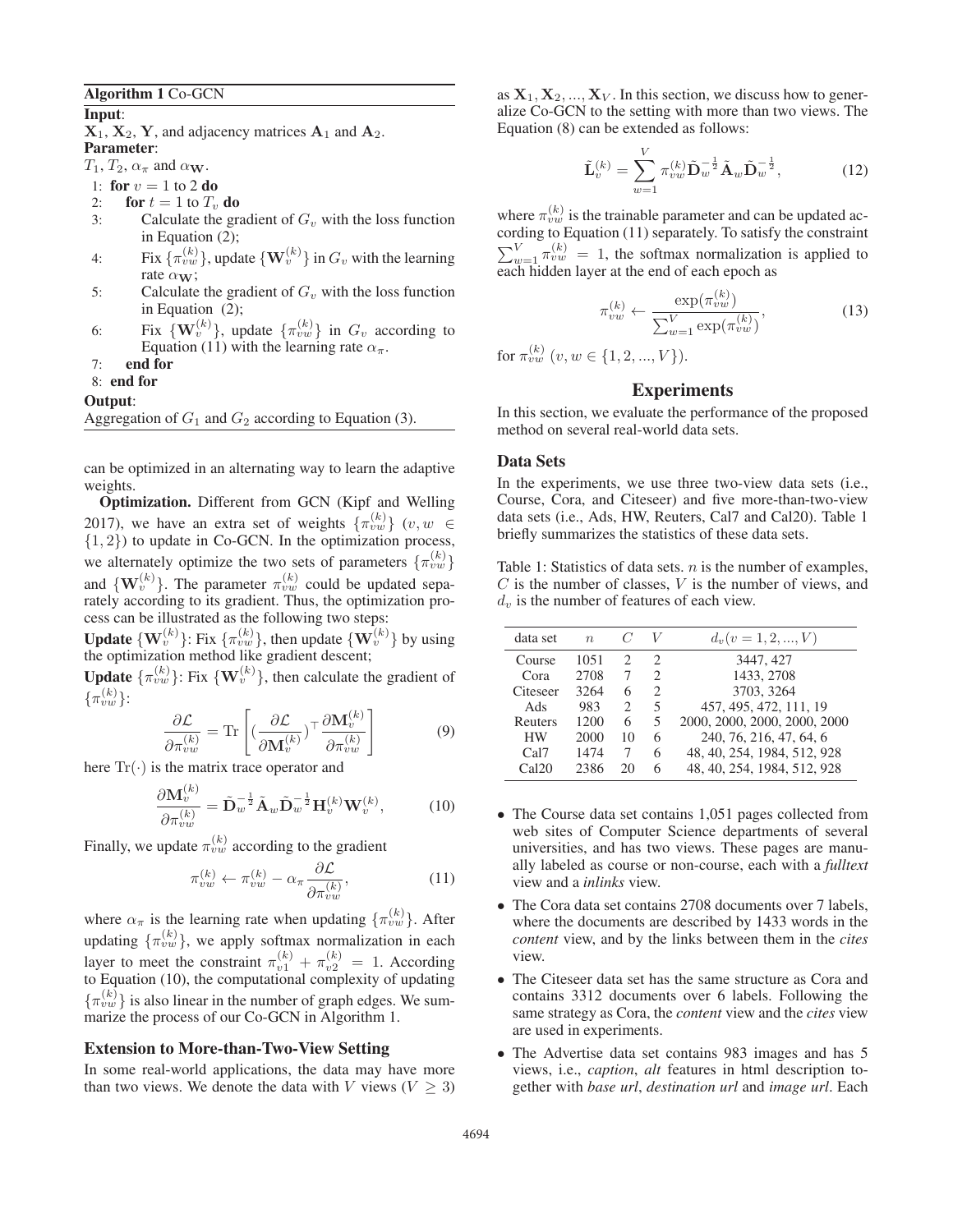### Algorithm 1 Co-GCN

## Input:

 $X_1, X_2, Y$ , and adjacency matrices  $A_1$  and  $A_2$ . Parameter:

 $T_1, T_2, \alpha_{\pi}$  and  $\alpha_{\mathbf{W}}$ .

1: for  $v = 1$  to 2 do<br>2: for  $t = 1$  to  $T_v$ 

- 2: **for**  $t = 1$  to  $T_v$  **do**<br>3: Calculate the gra
- Calculate the gradient of  $G_v$  with the loss function in Equation (2);
- 4: Fix  $\{\pi_{vw}^{(k)}\}$ , update  $\{W_v^{(k)}\}$  in  $G_v$  with the learning rate α**W**;
- 5: Calculate the gradient of  $G_v$  with the loss function in Equation (2);
- 6: Fix  $\{ \mathbf{W}_v^{(k)} \}$ , update  $\{\pi_{vw}^{(k)}\}$  in  $G_v$  according to Equation (11) with the learning rate  $\alpha_{\pi}$ .
- 7: end for
- 8: end for

#### Output:

Aggregation of  $G_1$  and  $G_2$  according to Equation (3).

can be optimized in an alternating way to learn the adaptive weights.

Optimization. Different from GCN (Kipf and Welling 2017), we have an extra set of weights  $\{\pi_{vw}^{(k)}\}$   $(v, w \in$  $\{1, 2\}$ ) to update in Co-GCN. In the optimization process, we alternately optimize the two sets of parameters  $\{\pi_{vw}^{(k)}\}$ and  $\{W_v^{(k)}\}$ . The parameter  $\pi_{vw}^{(k)}$  could be updated separately according to its gradient. Thus, the optimization process can be illustrated as the following two steps:

**Update**  $\{ \mathbf{W}_v^{(k)} \}$ : Fix  $\{\pi_{vw}^{(k)} \}$ , then update  $\{ \mathbf{W}_v^{(k)} \}$  by using the optimization method like gradient descent;

**Update**  $\{\pi_{vw}^{(k)}\}$ : Fix  $\{\mathbf{W}_v^{(k)}\}$ , then calculate the gradient of  $\{\pi_{vw}^{(k)}\}$ :

$$
\frac{\partial \mathcal{L}}{\partial \pi_{vw}^{(k)}} = \text{Tr} \left[ \left( \frac{\partial \mathcal{L}}{\partial \mathbf{M}_v^{(k)}} \right)^\top \frac{\partial \mathbf{M}_v^{(k)}}{\partial \pi_{vw}^{(k)}} \right] \tag{9}
$$

here  $Tr(\cdot)$  is the matrix trace operator and

<sup>∂</sup>**M**(k) <sup>v</sup>

$$
\frac{\partial \mathbf{M}_v^{(k)}}{\partial \pi_{vw}^{(k)}} = \tilde{\mathbf{D}}_w^{-\frac{1}{2}} \tilde{\mathbf{A}}_w \tilde{\mathbf{D}}_w^{-\frac{1}{2}} \mathbf{H}_v^{(k)} \mathbf{W}_v^{(k)},\tag{10}
$$

Finally, we update  $\pi_{vw}^{(k)}$  according to the gradient

$$
\pi_{vw}^{(k)} \leftarrow \pi_{vw}^{(k)} - \alpha_{\pi} \frac{\partial \mathcal{L}}{\partial \pi_{vw}^{(k)}},\tag{11}
$$

where  $\alpha_{\pi}$  is the learning rate when updating  $\{\pi_{vw}^{(k)}\}$ . After updating  $\{\pi_{vw}^{(k)}\}$ , we apply softmax normalization in each layer to meet the constraint  $\pi_{v1}^{(k)} + \pi_{v2}^{(k)} = 1$ . According to Equation (10), the computational complexity of updating  $\{\pi_{vw}^{(k)}\}$  is also linear in the number of graph edges. We summarize the process of our Co-GCN in Algorithm 1.

### Extension to More-than-Two-View Setting

In some real-world applications, the data may have more than two views. We denote the data with V views ( $V \geq 3$ )

as  $X_1, X_2, ..., X_V$ . In this section, we discuss how to generalize Co-GCN to the setting with more than two views. The Equation (8) can be extended as follows:

$$
\tilde{\mathbf{L}}_{v}^{(k)} = \sum_{w=1}^{V} \pi_{vw}^{(k)} \tilde{\mathbf{D}}_{w}^{-\frac{1}{2}} \tilde{\mathbf{A}}_{w} \tilde{\mathbf{D}}_{w}^{-\frac{1}{2}},
$$
(12)

where  $\pi_{vw}^{(k)}$  is the trainable parameter and can be updated according to Equation (11) separately. To satisfy the constraint  $\sum_{w=1}^{V} \pi_{vw}^{(k)} = 1$ , the softmax normalization is applied to each hidden layer at the end of each enoch as each hidden layer at the end of each epoch as

$$
\pi_{vw}^{(k)} \leftarrow \frac{\exp(\pi_{vw}^{(k)})}{\sum_{w=1}^{V} \exp(\pi_{vw}^{(k)})},\tag{13}
$$

for  $\pi_{vw}^{(k)}$   $(v, w \in \{1, 2, ..., V\}).$ 

## Experiments

In this section, we evaluate the performance of the proposed method on several real-world data sets.

### Data Sets

In the experiments, we use three two-view data sets (i.e., Course, Cora, and Citeseer) and five more-than-two-view data sets (i.e., Ads, HW, Reuters, Cal7 and Cal20). Table 1 briefly summarizes the statistics of these data sets.

Table 1: Statistics of data sets.  $n$  is the number of examples,  $C$  is the number of classes,  $V$  is the number of views, and  $d_v$  is the number of features of each view.

| data set  | $\eta$ |                             |                             | $d_v(v=1,2,,V)$              |
|-----------|--------|-----------------------------|-----------------------------|------------------------------|
| Course    | 1051   | $\mathcal{D}_{\mathcal{A}}$ | $\mathcal{D}_{\mathcal{L}}$ | 3447, 427                    |
| Cora      | 2708   | 7                           | $\mathcal{D}_{\mathcal{A}}$ | 1433, 2708                   |
| Citeseer  | 3264   | 6                           | $\mathcal{D}_{\mathcal{A}}$ | 3703, 3264                   |
| Ads       | 983    | $\mathcal{D}_{\mathcal{A}}$ | 5                           | 457, 495, 472, 111, 19       |
| Reuters   | 1200   | 6                           | 5                           | 2000, 2000, 2000, 2000, 2000 |
| <b>HW</b> | 2000   | 10                          | 6                           | 240, 76, 216, 47, 64, 6      |
| Cal7      | 1474   | 7                           | 6                           | 48, 40, 254, 1984, 512, 928  |
| Ca120     | 2386   | 20                          | 6                           | 48, 40, 254, 1984, 512, 928  |

- The Course data set contains 1,051 pages collected from web sites of Computer Science departments of several universities, and has two views. These pages are manually labeled as course or non-course, each with a *fulltext* view and a *inlinks* view.
- The Cora data set contains 2708 documents over 7 labels, where the documents are described by 1433 words in the *content* view, and by the links between them in the *cites* view.
- The Citeseer data set has the same structure as Cora and contains 3312 documents over 6 labels. Following the same strategy as Cora, the *content* view and the *cites* view are used in experiments.
- The Advertise data set contains 983 images and has 5 views, i.e., *caption*, *alt* features in html description together with *base url*, *destination url* and *image url*. Each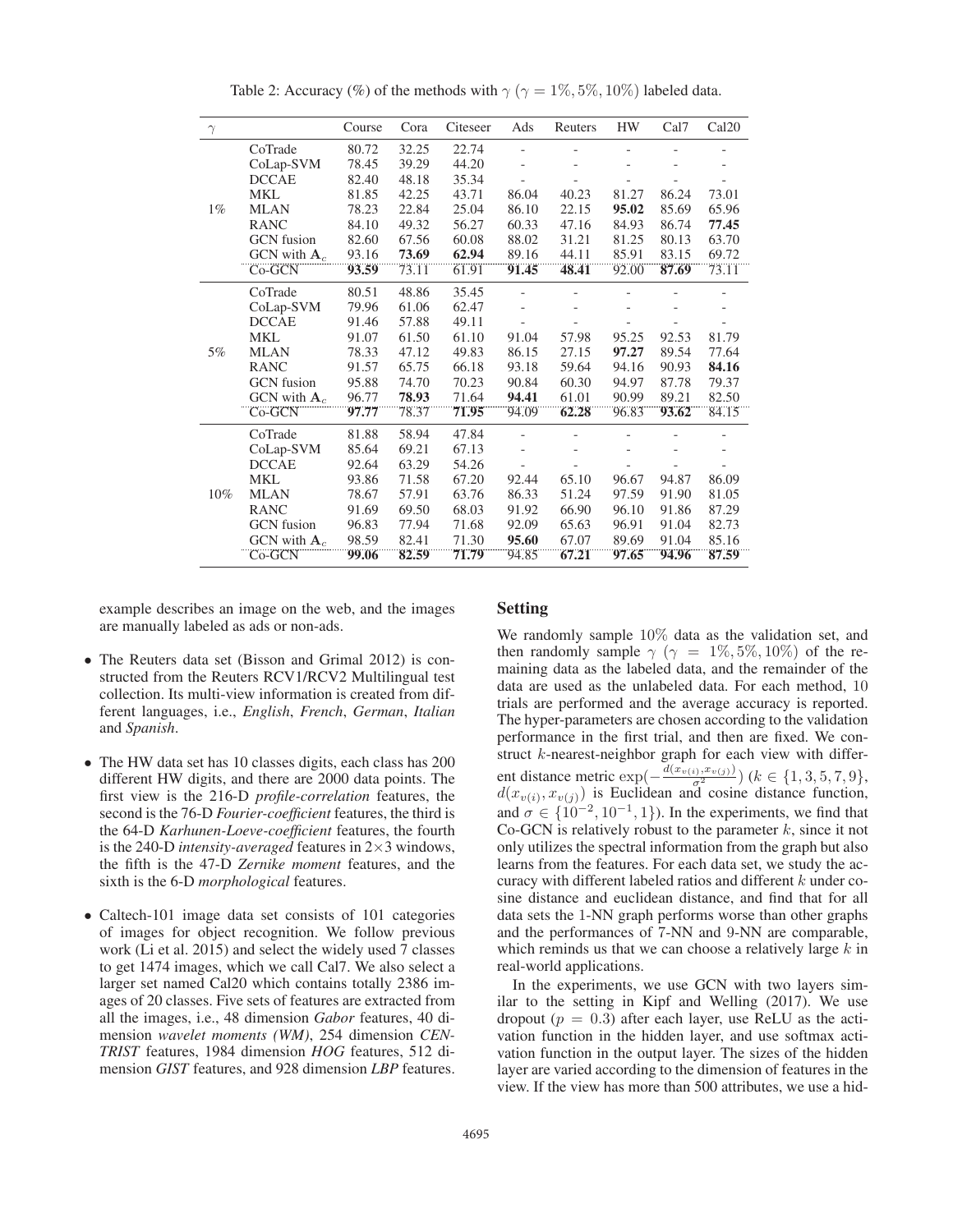| $\gamma$ |                   | Course | Cora  | Citeseer | Ads   | Reuters | <b>HW</b> | Cal7  | Cal <sub>20</sub> |
|----------|-------------------|--------|-------|----------|-------|---------|-----------|-------|-------------------|
| $1\%$    | CoTrade           | 80.72  | 32.25 | 22.74    |       |         |           |       |                   |
|          | CoLap-SVM         | 78.45  | 39.29 | 44.20    |       |         |           |       |                   |
|          | <b>DCCAE</b>      | 82.40  | 48.18 | 35.34    |       |         |           |       |                   |
|          | <b>MKL</b>        | 81.85  | 42.25 | 43.71    | 86.04 | 40.23   | 81.27     | 86.24 | 73.01             |
|          | <b>MLAN</b>       | 78.23  | 22.84 | 25.04    | 86.10 | 22.15   | 95.02     | 85.69 | 65.96             |
|          | <b>RANC</b>       | 84.10  | 49.32 | 56.27    | 60.33 | 47.16   | 84.93     | 86.74 | 77.45             |
|          | <b>GCN</b> fusion | 82.60  | 67.56 | 60.08    | 88.02 | 31.21   | 81.25     | 80.13 | 63.70             |
|          | GCN with $A_c$    | 93.16  | 73.69 | 62.94    | 89.16 | 44.11   | 85.91     | 83.15 | 69.72             |
|          | Co-GCN            | 93.59  | 73.11 | 61.91    | 91.45 | 48.41   | 92.00     | 87.69 | 73.11             |
| 5%       | CoTrade           | 80.51  | 48.86 | 35.45    |       |         |           |       |                   |
|          | CoLap-SVM         | 79.96  | 61.06 | 62.47    |       |         |           |       |                   |
|          | <b>DCCAE</b>      | 91.46  | 57.88 | 49.11    |       |         |           |       |                   |
|          | <b>MKL</b>        | 91.07  | 61.50 | 61.10    | 91.04 | 57.98   | 95.25     | 92.53 | 81.79             |
|          | <b>MLAN</b>       | 78.33  | 47.12 | 49.83    | 86.15 | 27.15   | 97.27     | 89.54 | 77.64             |
|          | <b>RANC</b>       | 91.57  | 65.75 | 66.18    | 93.18 | 59.64   | 94.16     | 90.93 | 84.16             |
|          | <b>GCN</b> fusion | 95.88  | 74.70 | 70.23    | 90.84 | 60.30   | 94.97     | 87.78 | 79.37             |
|          | GCN with $A_c$    | 96.77  | 78.93 | 71.64    | 94.41 | 61.01   | 90.99     | 89.21 | 82.50             |
|          | Co-GCN            | 97.77  | 78.37 | 71.95    | 94.09 | 62.28   | 96.83     | 93.62 | 84.15             |
| 10%      | CoTrade           | 81.88  | 58.94 | 47.84    |       |         |           |       |                   |
|          | CoLap-SVM         | 85.64  | 69.21 | 67.13    |       |         |           |       |                   |
|          | <b>DCCAE</b>      | 92.64  | 63.29 | 54.26    |       |         |           |       |                   |
|          | <b>MKL</b>        | 93.86  | 71.58 | 67.20    | 92.44 | 65.10   | 96.67     | 94.87 | 86.09             |
|          | <b>MLAN</b>       | 78.67  | 57.91 | 63.76    | 86.33 | 51.24   | 97.59     | 91.90 | 81.05             |
|          | <b>RANC</b>       | 91.69  | 69.50 | 68.03    | 91.92 | 66.90   | 96.10     | 91.86 | 87.29             |
|          | <b>GCN</b> fusion | 96.83  | 77.94 | 71.68    | 92.09 | 65.63   | 96.91     | 91.04 | 82.73             |
|          | GCN with $A_c$    | 98.59  | 82.41 | 71.30    | 95.60 | 67.07   | 89.69     | 91.04 | 85.16             |
|          | Co-GCN            | 99.06  | 82.59 | 71.79    | 94.85 | 67.21   | 97.65     | 94.96 | 87.59             |

Table 2: Accuracy (%) of the methods with  $\gamma$  ( $\gamma = 1\%, 5\%, 10\%$ ) labeled data.

example describes an image on the web, and the images are manually labeled as ads or non-ads.

### Setting

- The Reuters data set (Bisson and Grimal 2012) is constructed from the Reuters RCV1/RCV2 Multilingual test collection. Its multi-view information is created from different languages, i.e., *English*, *French*, *German*, *Italian* and *Spanish*.
- The HW data set has 10 classes digits, each class has 200 different HW digits, and there are 2000 data points. The first view is the 216-D *profile-correlation* features, the second is the 76-D *Fourier-coefficient* features, the third is the 64-D *Karhunen-Loeve-coefficient* features, the fourth is the 240-D *intensity-averaged* features in 2×3 windows, the fifth is the 47-D *Zernike moment* features, and the sixth is the 6-D *morphological* features.
- Caltech-101 image data set consists of 101 categories of images for object recognition. We follow previous work (Li et al. 2015) and select the widely used 7 classes to get 1474 images, which we call Cal7. We also select a larger set named Cal20 which contains totally 2386 images of 20 classes. Five sets of features are extracted from all the images, i.e., 48 dimension *Gabor* features, 40 dimension *wavelet moments (WM)*, 254 dimension *CEN-TRIST* features, 1984 dimension *HOG* features, 512 dimension *GIST* features, and 928 dimension *LBP* features.

We randomly sample 10% data as the validation set, and then randomly sample  $\gamma$  ( $\gamma = 1\%, 5\%, 10\%$ ) of the remaining data as the labeled data, and the remainder of the data are used as the unlabeled data. For each method, 10 trials are performed and the average accuracy is reported. The hyper-parameters are chosen according to the validation performance in the first trial, and then are fixed. We construct k-nearest-neighbor graph for each view with different distance metric  $\exp(-\frac{d(x_{v(i)},x_{v(j)})}{\sigma^2})$   $(k \in \{1,3,5,7,9\},\allowbreak d(x_{v(i)},x_{v(j)})$  is Fuclidean and cosine distance function  $d(x_{v(i)}, x_{v(j)})$  is Euclidean and cosine distance function,<br>and  $\sigma \in (10^{-2}, 10^{-1}, 1)$ ). In the experiments, we find that and  $\sigma \in \{10^{-2}, 10^{-1}, 1\}$ ). In the experiments, we find that Co-GCN is relatively robust to the parameter  $k$ , since it not only utilizes the spectral information from the graph but also learns from the features. For each data set, we study the accuracy with different labeled ratios and different k under cosine distance and euclidean distance, and find that for all data sets the 1-NN graph performs worse than other graphs and the performances of 7-NN and 9-NN are comparable, which reminds us that we can choose a relatively large  $k$  in real-world applications.

In the experiments, we use GCN with two layers similar to the setting in Kipf and Welling (2017). We use dropout ( $p = 0.3$ ) after each layer, use ReLU as the activation function in the hidden layer, and use softmax activation function in the output layer. The sizes of the hidden layer are varied according to the dimension of features in the view. If the view has more than 500 attributes, we use a hid-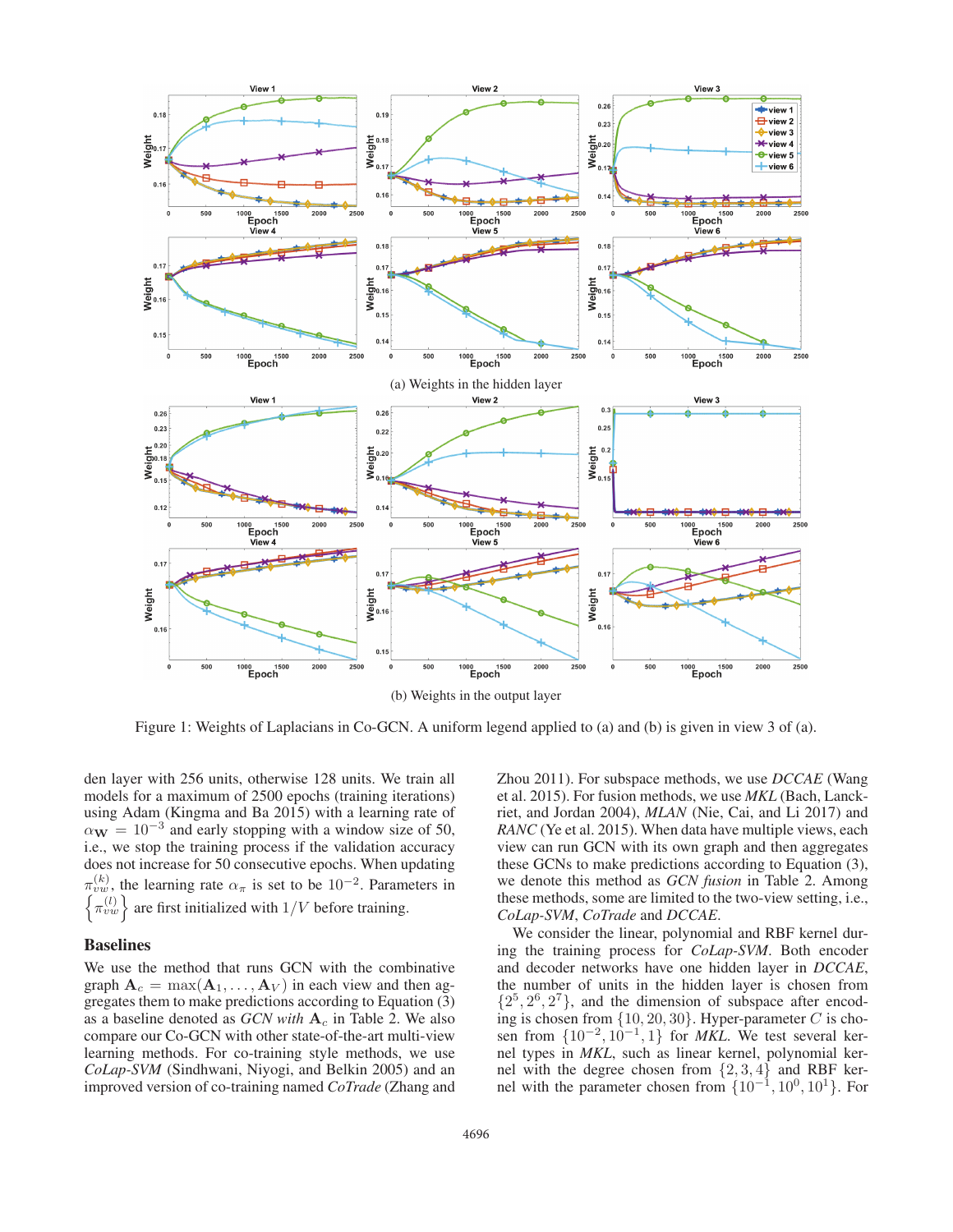

Figure 1: Weights of Laplacians in Co-GCN. A uniform legend applied to (a) and (b) is given in view 3 of (a).

den layer with 256 units, otherwise 128 units. We train all models for a maximum of 2500 epochs (training iterations) using Adam (Kingma and Ba 2015) with a learning rate of  $\alpha_{\bf W} = 10^{-3}$  and early stopping with a window size of 50, i.e., we stop the training process if the validation accuracy does not increase for 50 consecutive epochs. When updating  $\pi_{vw}^{(k)}$ , the learning rate  $\alpha_{\pi}$  is set to be  $10^{-2}$ . Parameters in the learning rate  $\alpha_{\pi}$  is set to be 10<sup>-2</sup>. Parameters in  $\left\{\pi_{vw}^{(l)}\right\}$ are first initialized with  $1/{\cal V}$  before training.

### Baselines

We use the method that runs GCN with the combinative graph  $A_c = \max(A_1, \ldots, A_V)$  in each view and then aggregates them to make predictions according to Equation (3) as a baseline denoted as *GCN with* **A**<sup>c</sup> in Table 2. We also compare our Co-GCN with other state-of-the-art multi-view learning methods. For co-training style methods, we use *CoLap-SVM* (Sindhwani, Niyogi, and Belkin 2005) and an improved version of co-training named *CoTrade* (Zhang and Zhou 2011). For subspace methods, we use *DCCAE* (Wang et al. 2015). For fusion methods, we use *MKL* (Bach, Lanckriet, and Jordan 2004), *MLAN* (Nie, Cai, and Li 2017) and *RANC* (Ye et al. 2015). When data have multiple views, each view can run GCN with its own graph and then aggregates these GCNs to make predictions according to Equation (3), we denote this method as *GCN fusion* in Table 2. Among these methods, some are limited to the two-view setting, i.e., *CoLap-SVM*, *CoTrade* and *DCCAE*.

We consider the linear, polynomial and RBF kernel during the training process for *CoLap-SVM*. Both encoder and decoder networks have one hidden layer in *DCCAE*, the number of units in the hidden layer is chosen from  $\{2^5, 2^6, 2^7\}$ , and the dimension of subspace after encoding is chosen from  $\{10, 20, 30\}$ . Hyper-parameter C is chosen from  $\{10^{-2}, 10^{-1}, 1\}$  for *MKL*. We test several kernel types in *MKL*, such as linear kernel, polynomial kernel with the degree chosen from  $\{2, 3, 4\}$  and RBF kernel with the parameter chosen from  $\{10^{-1}, 10^{0}, 10^{1}\}$ . For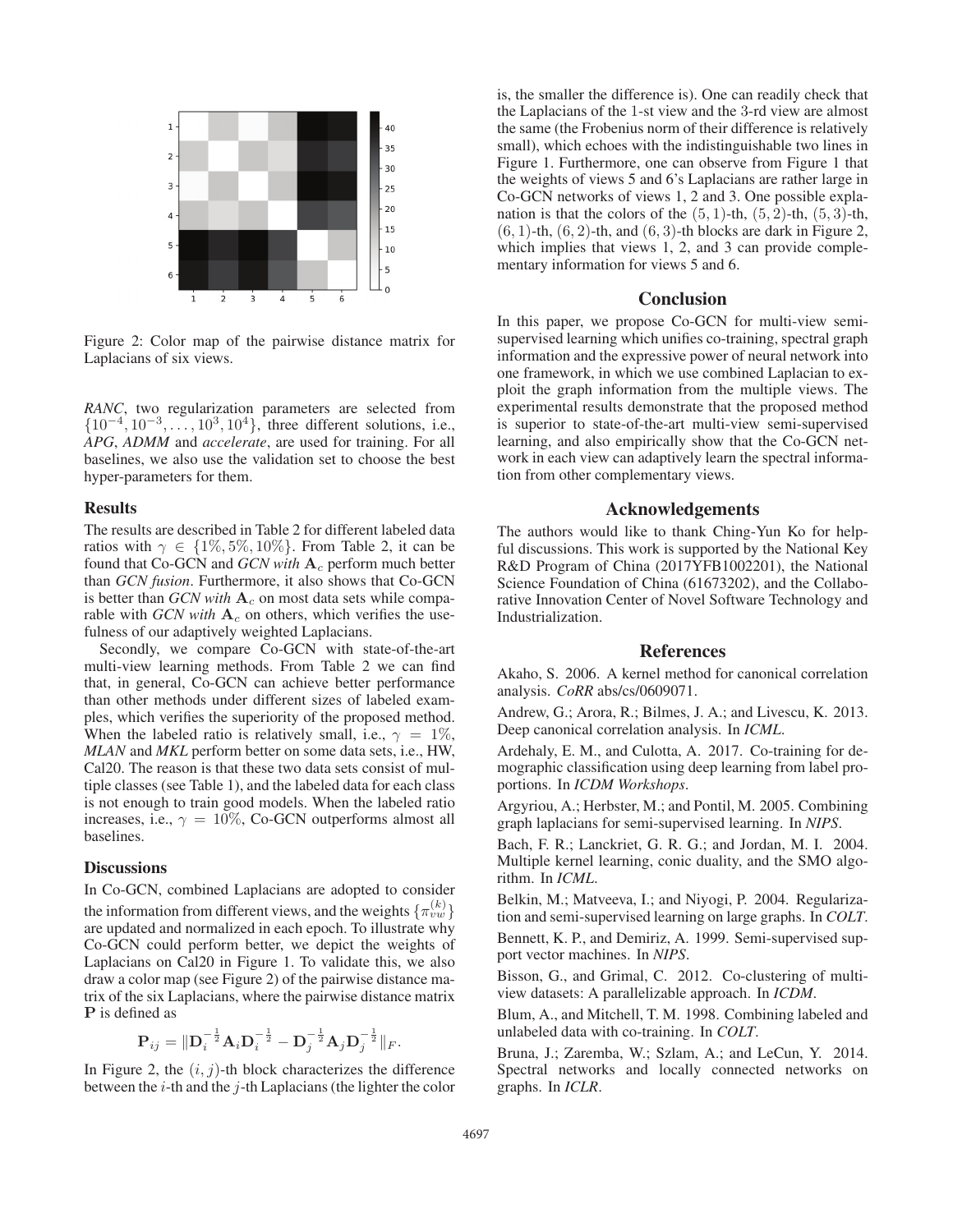

Figure 2: Color map of the pairwise distance matrix for Laplacians of six views.

*RANC*, two regularization parameters are selected from  $\{10^{-4}, 10^{-3}, \ldots, 10^{3}, 10^{4}\}$ , three different solutions, i.e., *APG*, *ADMM* and *accelerate*, are used for training. For all baselines, we also use the validation set to choose the best hyper-parameters for them.

## Results

The results are described in Table 2 for different labeled data ratios with  $\gamma \in \{1\%, 5\%, 10\%\}$ . From Table 2, it can be found that Co-GCN and *GCN with* **A**<sup>c</sup> perform much better than *GCN fusion*. Furthermore, it also shows that Co-GCN is better than *GCN with*  $A_c$  on most data sets while comparable with *GCN with*  $A_c$  on others, which verifies the usefulness of our adaptively weighted Laplacians.

Secondly, we compare Co-GCN with state-of-the-art multi-view learning methods. From Table 2 we can find that, in general, Co-GCN can achieve better performance than other methods under different sizes of labeled examples, which verifies the superiority of the proposed method. When the labeled ratio is relatively small, i.e.,  $\gamma = 1\%$ , *MLAN* and *MKL* perform better on some data sets, i.e., HW, Cal20. The reason is that these two data sets consist of multiple classes (see Table 1), and the labeled data for each class is not enough to train good models. When the labeled ratio increases, i.e.,  $\gamma = 10\%$ , Co-GCN outperforms almost all baselines.

## **Discussions**

In Co-GCN, combined Laplacians are adopted to consider the information from different views, and the weights  $\{\pi_{vw}^{(k)}\}$ are updated and normalized in each epoch. To illustrate why Co-GCN could perform better, we depict the weights of Laplacians on Cal20 in Figure 1. To validate this, we also draw a color map (see Figure 2) of the pairwise distance matrix of the six Laplacians, where the pairwise distance matrix **P** is defined as

$$
\mathbf{P}_{ij} = \|\mathbf{D}_i^{-\frac{1}{2}} \mathbf{A}_i \mathbf{D}_i^{-\frac{1}{2}} - \mathbf{D}_j^{-\frac{1}{2}} \mathbf{A}_j \mathbf{D}_j^{-\frac{1}{2}} \|_F.
$$

In Figure 2, the  $(i, j)$ -th block characterizes the difference between the  $i$ -th and the  $j$ -th Laplacians (the lighter the color

is, the smaller the difference is). One can readily check that the Laplacians of the 1-st view and the 3-rd view are almost the same (the Frobenius norm of their difference is relatively small), which echoes with the indistinguishable two lines in Figure 1. Furthermore, one can observe from Figure 1 that the weights of views 5 and 6's Laplacians are rather large in Co-GCN networks of views 1, 2 and 3. One possible explanation is that the colors of the  $(5, 1)$ -th,  $(5, 2)$ -th,  $(5, 3)$ -th,  $(6, 1)$ -th,  $(6, 2)$ -th, and  $(6, 3)$ -th blocks are dark in Figure 2, which implies that views 1, 2, and 3 can provide complementary information for views 5 and 6.

## **Conclusion**

In this paper, we propose Co-GCN for multi-view semisupervised learning which unifies co-training, spectral graph information and the expressive power of neural network into one framework, in which we use combined Laplacian to exploit the graph information from the multiple views. The experimental results demonstrate that the proposed method is superior to state-of-the-art multi-view semi-supervised learning, and also empirically show that the Co-GCN network in each view can adaptively learn the spectral information from other complementary views.

## Acknowledgements

The authors would like to thank Ching-Yun Ko for helpful discussions. This work is supported by the National Key R&D Program of China (2017YFB1002201), the National Science Foundation of China (61673202), and the Collaborative Innovation Center of Novel Software Technology and Industrialization.

#### References

Akaho, S. 2006. A kernel method for canonical correlation analysis. *CoRR* abs/cs/0609071.

Andrew, G.; Arora, R.; Bilmes, J. A.; and Livescu, K. 2013. Deep canonical correlation analysis. In *ICML*.

Ardehaly, E. M., and Culotta, A. 2017. Co-training for demographic classification using deep learning from label proportions. In *ICDM Workshops*.

Argyriou, A.; Herbster, M.; and Pontil, M. 2005. Combining graph laplacians for semi-supervised learning. In *NIPS*.

Bach, F. R.; Lanckriet, G. R. G.; and Jordan, M. I. 2004. Multiple kernel learning, conic duality, and the SMO algorithm. In *ICML*.

Belkin, M.; Matveeva, I.; and Niyogi, P. 2004. Regularization and semi-supervised learning on large graphs. In *COLT*. Bennett, K. P., and Demiriz, A. 1999. Semi-supervised support vector machines. In *NIPS*.

Bisson, G., and Grimal, C. 2012. Co-clustering of multiview datasets: A parallelizable approach. In *ICDM*.

Blum, A., and Mitchell, T. M. 1998. Combining labeled and unlabeled data with co-training. In *COLT*.

Bruna, J.; Zaremba, W.; Szlam, A.; and LeCun, Y. 2014. Spectral networks and locally connected networks on graphs. In *ICLR*.